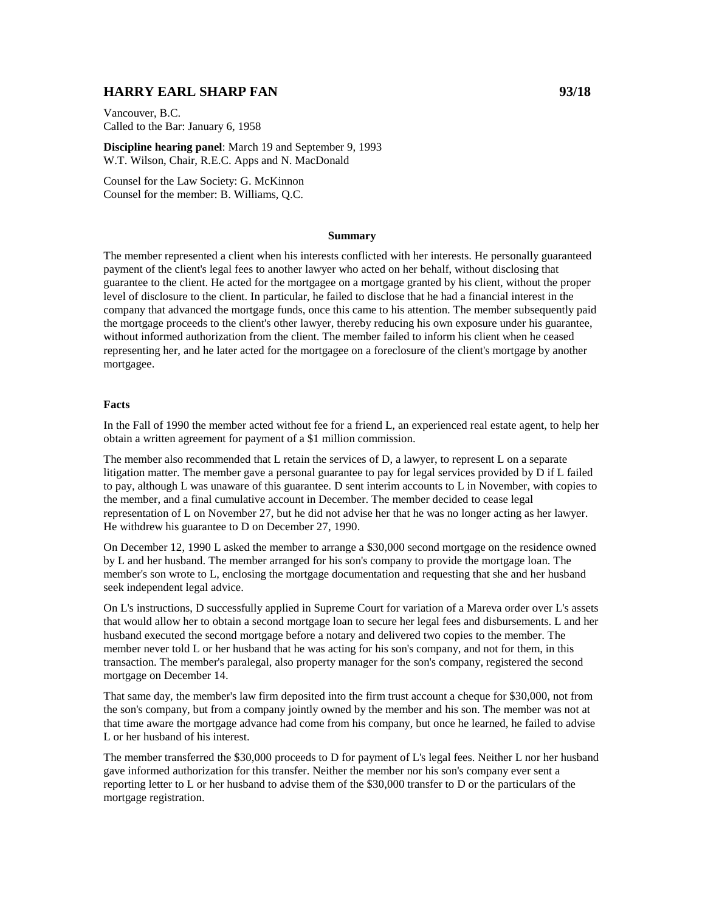# **HARRY EARL SHARP FAN 93/18**

Vancouver, B.C. Called to the Bar: January 6, 1958

**Discipline hearing panel**: March 19 and September 9, 1993 W.T. Wilson, Chair, R.E.C. Apps and N. MacDonald

Counsel for the Law Society: G. McKinnon Counsel for the member: B. Williams, Q.C.

#### **Summary**

The member represented a client when his interests conflicted with her interests. He personally guaranteed payment of the client's legal fees to another lawyer who acted on her behalf, without disclosing that guarantee to the client. He acted for the mortgagee on a mortgage granted by his client, without the proper level of disclosure to the client. In particular, he failed to disclose that he had a financial interest in the company that advanced the mortgage funds, once this came to his attention. The member subsequently paid the mortgage proceeds to the client's other lawyer, thereby reducing his own exposure under his guarantee, without informed authorization from the client. The member failed to inform his client when he ceased representing her, and he later acted for the mortgagee on a foreclosure of the client's mortgage by another mortgagee.

### **Facts**

In the Fall of 1990 the member acted without fee for a friend L, an experienced real estate agent, to help her obtain a written agreement for payment of a \$1 million commission.

The member also recommended that L retain the services of D, a lawyer, to represent L on a separate litigation matter. The member gave a personal guarantee to pay for legal services provided by D if L failed to pay, although L was unaware of this guarantee. D sent interim accounts to L in November, with copies to the member, and a final cumulative account in December. The member decided to cease legal representation of L on November 27, but he did not advise her that he was no longer acting as her lawyer. He withdrew his guarantee to D on December 27, 1990.

On December 12, 1990 L asked the member to arrange a \$30,000 second mortgage on the residence owned by L and her husband. The member arranged for his son's company to provide the mortgage loan. The member's son wrote to L, enclosing the mortgage documentation and requesting that she and her husband seek independent legal advice.

On L's instructions, D successfully applied in Supreme Court for variation of a Mareva order over L's assets that would allow her to obtain a second mortgage loan to secure her legal fees and disbursements. L and her husband executed the second mortgage before a notary and delivered two copies to the member. The member never told L or her husband that he was acting for his son's company, and not for them, in this transaction. The member's paralegal, also property manager for the son's company, registered the second mortgage on December 14.

That same day, the member's law firm deposited into the firm trust account a cheque for \$30,000, not from the son's company, but from a company jointly owned by the member and his son. The member was not at that time aware the mortgage advance had come from his company, but once he learned, he failed to advise L or her husband of his interest.

The member transferred the \$30,000 proceeds to D for payment of L's legal fees. Neither L nor her husband gave informed authorization for this transfer. Neither the member nor his son's company ever sent a reporting letter to L or her husband to advise them of the \$30,000 transfer to D or the particulars of the mortgage registration.